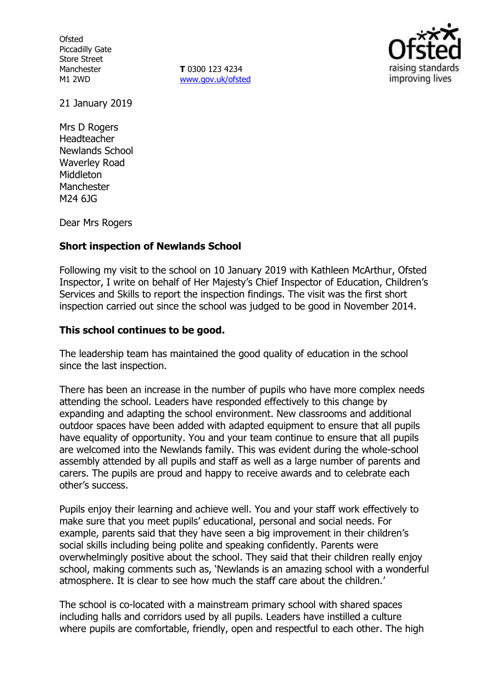**Ofsted** Piccadilly Gate Store Street Manchester M1 2WD

**T** 0300 123 4234 www.gov.uk/ofsted



21 January 2019

Mrs D Rogers Headteacher Newlands School Waverley Road **Middleton** Manchester M24 6JG

Dear Mrs Rogers

### **Short inspection of Newlands School**

Following my visit to the school on 10 January 2019 with Kathleen McArthur, Ofsted Inspector, I write on behalf of Her Majesty's Chief Inspector of Education, Children's Services and Skills to report the inspection findings. The visit was the first short inspection carried out since the school was judged to be good in November 2014.

### **This school continues to be good.**

The leadership team has maintained the good quality of education in the school since the last inspection.

There has been an increase in the number of pupils who have more complex needs attending the school. Leaders have responded effectively to this change by expanding and adapting the school environment. New classrooms and additional outdoor spaces have been added with adapted equipment to ensure that all pupils have equality of opportunity. You and your team continue to ensure that all pupils are welcomed into the Newlands family. This was evident during the whole-school assembly attended by all pupils and staff as well as a large number of parents and carers. The pupils are proud and happy to receive awards and to celebrate each other's success.

Pupils enjoy their learning and achieve well. You and your staff work effectively to make sure that you meet pupils' educational, personal and social needs. For example, parents said that they have seen a big improvement in their children's social skills including being polite and speaking confidently. Parents were overwhelmingly positive about the school. They said that their children really enjoy school, making comments such as, 'Newlands is an amazing school with a wonderful atmosphere. It is clear to see how much the staff care about the children.'

The school is co-located with a mainstream primary school with shared spaces including halls and corridors used by all pupils. Leaders have instilled a culture where pupils are comfortable, friendly, open and respectful to each other. The high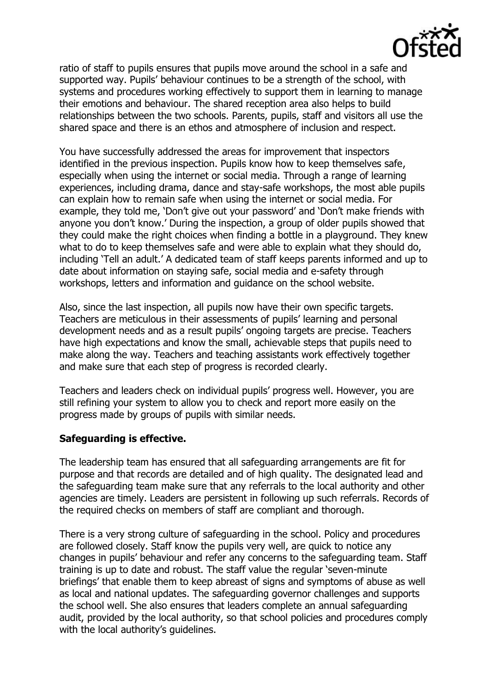

ratio of staff to pupils ensures that pupils move around the school in a safe and supported way. Pupils' behaviour continues to be a strength of the school, with systems and procedures working effectively to support them in learning to manage their emotions and behaviour. The shared reception area also helps to build relationships between the two schools. Parents, pupils, staff and visitors all use the shared space and there is an ethos and atmosphere of inclusion and respect.

You have successfully addressed the areas for improvement that inspectors identified in the previous inspection. Pupils know how to keep themselves safe, especially when using the internet or social media. Through a range of learning experiences, including drama, dance and stay-safe workshops, the most able pupils can explain how to remain safe when using the internet or social media. For example, they told me, 'Don't give out your password' and 'Don't make friends with anyone you don't know.' During the inspection, a group of older pupils showed that they could make the right choices when finding a bottle in a playground. They knew what to do to keep themselves safe and were able to explain what they should do, including 'Tell an adult.' A dedicated team of staff keeps parents informed and up to date about information on staying safe, social media and e-safety through workshops, letters and information and guidance on the school website.

Also, since the last inspection, all pupils now have their own specific targets. Teachers are meticulous in their assessments of pupils' learning and personal development needs and as a result pupils' ongoing targets are precise. Teachers have high expectations and know the small, achievable steps that pupils need to make along the way. Teachers and teaching assistants work effectively together and make sure that each step of progress is recorded clearly.

Teachers and leaders check on individual pupils' progress well. However, you are still refining your system to allow you to check and report more easily on the progress made by groups of pupils with similar needs.

## **Safeguarding is effective.**

The leadership team has ensured that all safeguarding arrangements are fit for purpose and that records are detailed and of high quality. The designated lead and the safeguarding team make sure that any referrals to the local authority and other agencies are timely. Leaders are persistent in following up such referrals. Records of the required checks on members of staff are compliant and thorough.

There is a very strong culture of safeguarding in the school. Policy and procedures are followed closely. Staff know the pupils very well, are quick to notice any changes in pupils' behaviour and refer any concerns to the safeguarding team. Staff training is up to date and robust. The staff value the regular 'seven-minute briefings' that enable them to keep abreast of signs and symptoms of abuse as well as local and national updates. The safeguarding governor challenges and supports the school well. She also ensures that leaders complete an annual safeguarding audit, provided by the local authority, so that school policies and procedures comply with the local authority's quidelines.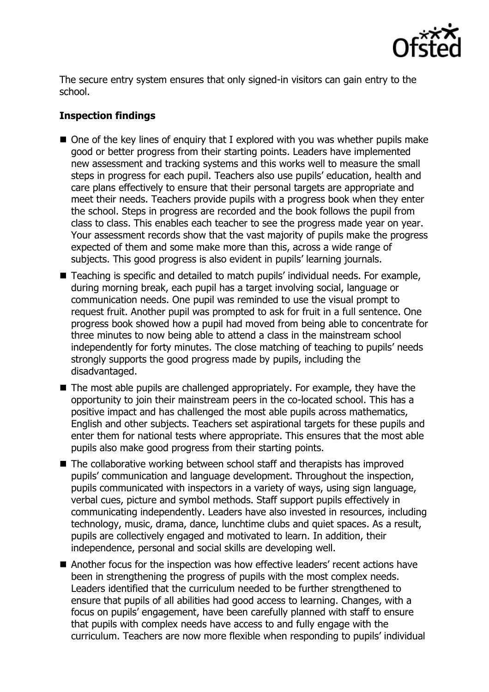

The secure entry system ensures that only signed-in visitors can gain entry to the school.

# **Inspection findings**

- $\blacksquare$  One of the key lines of enquiry that I explored with you was whether pupils make good or better progress from their starting points. Leaders have implemented new assessment and tracking systems and this works well to measure the small steps in progress for each pupil. Teachers also use pupils' education, health and care plans effectively to ensure that their personal targets are appropriate and meet their needs. Teachers provide pupils with a progress book when they enter the school. Steps in progress are recorded and the book follows the pupil from class to class. This enables each teacher to see the progress made year on year. Your assessment records show that the vast majority of pupils make the progress expected of them and some make more than this, across a wide range of subjects. This good progress is also evident in pupils' learning journals.
- Teaching is specific and detailed to match pupils' individual needs. For example, during morning break, each pupil has a target involving social, language or communication needs. One pupil was reminded to use the visual prompt to request fruit. Another pupil was prompted to ask for fruit in a full sentence. One progress book showed how a pupil had moved from being able to concentrate for three minutes to now being able to attend a class in the mainstream school independently for forty minutes. The close matching of teaching to pupils' needs strongly supports the good progress made by pupils, including the disadvantaged.
- The most able pupils are challenged appropriately. For example, they have the opportunity to join their mainstream peers in the co-located school. This has a positive impact and has challenged the most able pupils across mathematics, English and other subjects. Teachers set aspirational targets for these pupils and enter them for national tests where appropriate. This ensures that the most able pupils also make good progress from their starting points.
- The collaborative working between school staff and therapists has improved pupils' communication and language development. Throughout the inspection, pupils communicated with inspectors in a variety of ways, using sign language, verbal cues, picture and symbol methods. Staff support pupils effectively in communicating independently. Leaders have also invested in resources, including technology, music, drama, dance, lunchtime clubs and quiet spaces. As a result, pupils are collectively engaged and motivated to learn. In addition, their independence, personal and social skills are developing well.
- Another focus for the inspection was how effective leaders' recent actions have been in strengthening the progress of pupils with the most complex needs. Leaders identified that the curriculum needed to be further strengthened to ensure that pupils of all abilities had good access to learning. Changes, with a focus on pupils' engagement, have been carefully planned with staff to ensure that pupils with complex needs have access to and fully engage with the curriculum. Teachers are now more flexible when responding to pupils' individual